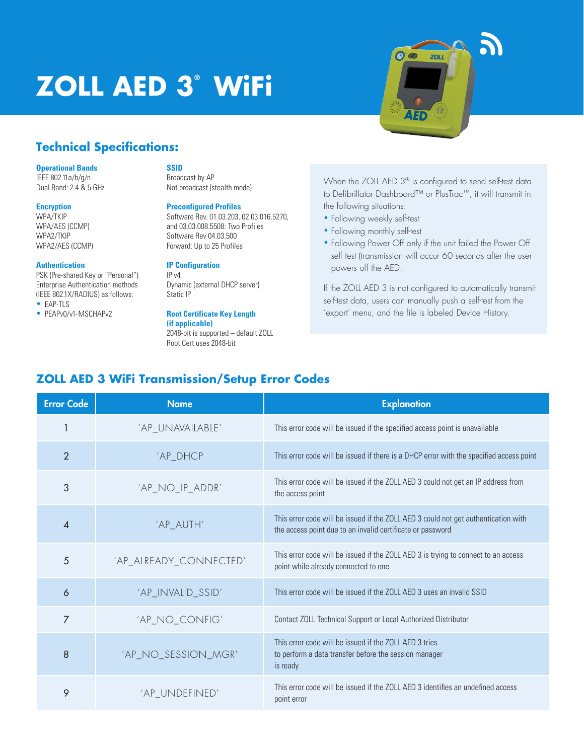# **ZOLL AED 3® WiFi**



## **Technical Specifications:**

#### **Operational Bands**

IEEE 802.11a/b/g/n Dual Band: 2.4 & 5 GHz

#### **Encryption**

WPA/TKIP WPA/AES (CCMP) WPA2/TKIP WPA2/AES (CCMP)

#### **Authentication**

PSK (Pre-shared Key or "Personal") Enterprise Authentication methods (IEEE 802.1X/RADIUS) as follows:

• EAP-TLS • PEAPv0/v1-MSCHAPv2

## **SSID**

Broadcast by AP Not broadcast (stealth mode)

#### **Preconfigured Profiles**

Software Rev. 01.03.203, 02.03.016.5270, and 03.03.008.5508: Two Profiles Software Rev 04.03.500 Forward: Up to 25 Profiles

## **IP Configuration**

IP v4 Dynamic (external DHCP server) Static IP

## **Root Certificate Key Length**

**(if applicable)** 2048-bit is supported – default ZOLL Root Cert uses 2048-bit

When the ZOLL AED 3<sup>®</sup> is configured to send self-test data to Defibrillator Dashboard™ or PlusTrac™, it will transmit in the following situations:

- Following weekly self-test
- Following monthly self-test
- Following Power Off only if the unit failed the Power Off self test (transmission will occur 60 seconds after the user powers off the AED.

If the ZOLL AED 3 is not configured to automatically transmit self-test data, users can manually push a self-test from the 'export' menu, and the file is labeled Device History.

# **ZOLL AED 3 WiFi Transmission/Setup Error Codes**

| <b>Error Code</b> | <b>Name</b>            | <b>Explanation</b>                                                                                                                               |
|-------------------|------------------------|--------------------------------------------------------------------------------------------------------------------------------------------------|
|                   | 'AP_UNAVAILABLE'       | This error code will be issued if the specified access point is unavailable                                                                      |
| $\overline{2}$    | 'AP_DHCP               | This error code will be issued if there is a DHCP error with the specified access point                                                          |
| 3                 | 'AP_NO_IP_ADDR'        | This error code will be issued if the ZOLL AED 3 could not get an IP address from<br>the access point                                            |
| 4                 | 'AP_AUTH'              | This error code will be issued if the ZOLL AED 3 could not get authentication with<br>the access point due to an invalid certificate or password |
| 5                 | 'AP_ALREADY_CONNECTED' | This error code will be issued if the ZOLL AED 3 is trying to connect to an access<br>point while already connected to one                       |
| 6                 | 'AP_INVALID_SSID'      | This error code will be issued if the ZOLL AED 3 uses an invalid SSID                                                                            |
| 7                 | 'AP_NO_CONFIG'         | Contact ZOLL Technical Support or Local Authorized Distributor                                                                                   |
| 8                 | 'AP_NO_SESSION_MGR'    | This error code will be issued if the 7011 AFD 3 tries<br>to perform a data transfer before the session manager<br>is ready                      |
| 9                 | 'AP_UNDEFINED'         | This error code will be issued if the ZOLL AED 3 identifies an undefined access<br>point error                                                   |